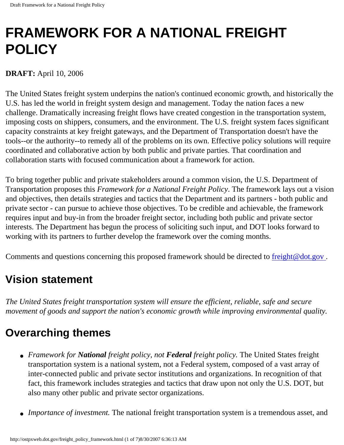# **FRAMEWORK FOR A NATIONAL FREIGHT POLICY**

**DRAFT:** April 10, 2006

The United States freight system underpins the nation's continued economic growth, and historically the U.S. has led the world in freight system design and management. Today the nation faces a new challenge. Dramatically increasing freight flows have created congestion in the transportation system, imposing costs on shippers, consumers, and the environment. The U.S. freight system faces significant capacity constraints at key freight gateways, and the Department of Transportation doesn't have the tools--or the authority--to remedy all of the problems on its own. Effective policy solutions will require coordinated and collaborative action by both public and private parties. That coordination and collaboration starts with focused communication about a framework for action.

To bring together public and private stakeholders around a common vision, the U.S. Department of Transportation proposes this *Framework for a National Freight Policy*. The framework lays out a vision and objectives, then details strategies and tactics that the Department and its partners - both public and private sector - can pursue to achieve those objectives. To be credible and achievable, the framework requires input and buy-in from the broader freight sector, including both public and private sector interests. The Department has begun the process of soliciting such input, and DOT looks forward to working with its partners to further develop the framework over the coming months.

Comments and questions concerning this proposed framework should be directed to [freight@dot.gov](mailto:Freight@dot.gov) .

## **Vision statement**

*The United States freight transportation system will ensure the efficient, reliable, safe and secure movement of goods and support the nation's economic growth while improving environmental quality.*

# **Overarching themes**

- *Framework for National freight policy, not Federal freight policy.* The United States freight transportation system is a national system, not a Federal system, composed of a vast array of inter-connected public and private sector institutions and organizations. In recognition of that fact, this framework includes strategies and tactics that draw upon not only the U.S. DOT, but also many other public and private sector organizations.
- *Importance of investment*. The national freight transportation system is a tremendous asset, and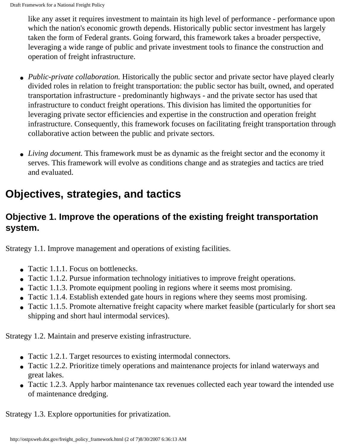like any asset it requires investment to maintain its high level of performance - performance upon which the nation's economic growth depends. Historically public sector investment has largely taken the form of Federal grants. Going forward, this framework takes a broader perspective, leveraging a wide range of public and private investment tools to finance the construction and operation of freight infrastructure.

- *Public-private collaboration*. Historically the public sector and private sector have played clearly divided roles in relation to freight transportation: the public sector has built, owned, and operated transportation infrastructure - predominantly highways - and the private sector has used that infrastructure to conduct freight operations. This division has limited the opportunities for leveraging private sector efficiencies and expertise in the construction and operation freight infrastructure. Consequently, this framework focuses on facilitating freight transportation through collaborative action between the public and private sectors.
- *Living document*. This framework must be as dynamic as the freight sector and the economy it serves. This framework will evolve as conditions change and as strategies and tactics are tried and evaluated.

# **Objectives, strategies, and tactics**

#### **Objective 1. Improve the operations of the existing freight transportation system.**

Strategy 1.1. Improve management and operations of existing facilities.

- Tactic 1.1.1. Focus on bottlenecks.
- Tactic 1.1.2. Pursue information technology initiatives to improve freight operations.
- Tactic 1.1.3. Promote equipment pooling in regions where it seems most promising.
- Tactic 1.1.4. Establish extended gate hours in regions where they seems most promising.
- Tactic 1.1.5. Promote alternative freight capacity where market feasible (particularly for short sea shipping and short haul intermodal services).

Strategy 1.2. Maintain and preserve existing infrastructure.

- Tactic 1.2.1. Target resources to existing intermodal connectors.
- Tactic 1.2.2. Prioritize timely operations and maintenance projects for inland waterways and great lakes.
- Tactic 1.2.3. Apply harbor maintenance tax revenues collected each year toward the intended use of maintenance dredging.

Strategy 1.3. Explore opportunities for privatization.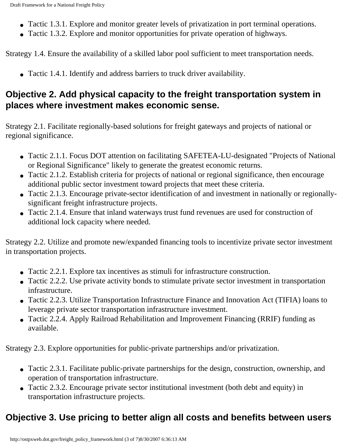- Tactic 1.3.1. Explore and monitor greater levels of privatization in port terminal operations.
- Tactic 1.3.2. Explore and monitor opportunities for private operation of highways.

Strategy 1.4. Ensure the availability of a skilled labor pool sufficient to meet transportation needs.

• Tactic 1.4.1. Identify and address barriers to truck driver availability.

#### **Objective 2. Add physical capacity to the freight transportation system in places where investment makes economic sense.**

Strategy 2.1. Facilitate regionally-based solutions for freight gateways and projects of national or regional significance.

- Tactic 2.1.1. Focus DOT attention on facilitating SAFETEA-LU-designated "Projects of National or Regional Significance" likely to generate the greatest economic returns.
- Tactic 2.1.2. Establish criteria for projects of national or regional significance, then encourage additional public sector investment toward projects that meet these criteria.
- Tactic 2.1.3. Encourage private-sector identification of and investment in nationally or regionallysignificant freight infrastructure projects.
- Tactic 2.1.4. Ensure that inland waterways trust fund revenues are used for construction of additional lock capacity where needed.

Strategy 2.2. Utilize and promote new/expanded financing tools to incentivize private sector investment in transportation projects.

- Tactic 2.2.1. Explore tax incentives as stimuli for infrastructure construction.
- Tactic 2.2.2. Use private activity bonds to stimulate private sector investment in transportation infrastructure.
- Tactic 2.2.3. Utilize Transportation Infrastructure Finance and Innovation Act (TIFIA) loans to leverage private sector transportation infrastructure investment.
- Tactic 2.2.4. Apply Railroad Rehabilitation and Improvement Financing (RRIF) funding as available.

Strategy 2.3. Explore opportunities for public-private partnerships and/or privatization.

- Tactic 2.3.1. Facilitate public-private partnerships for the design, construction, ownership, and operation of transportation infrastructure.
- Tactic 2.3.2. Encourage private sector institutional investment (both debt and equity) in transportation infrastructure projects.

### **Objective 3. Use pricing to better align all costs and benefits between users**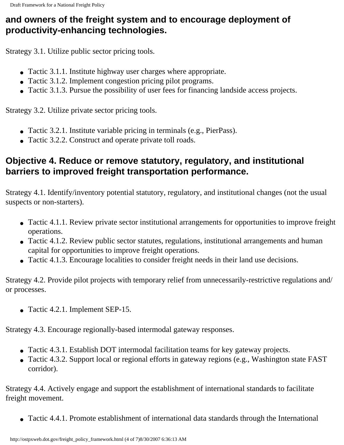#### **and owners of the freight system and to encourage deployment of productivity-enhancing technologies.**

Strategy 3.1. Utilize public sector pricing tools.

- Tactic 3.1.1. Institute highway user charges where appropriate.
- Tactic 3.1.2. Implement congestion pricing pilot programs.
- Tactic 3.1.3. Pursue the possibility of user fees for financing landside access projects.

Strategy 3.2. Utilize private sector pricing tools.

- Tactic 3.2.1. Institute variable pricing in terminals (e.g., PierPass).
- Tactic 3.2.2. Construct and operate private toll roads.

#### **Objective 4. Reduce or remove statutory, regulatory, and institutional barriers to improved freight transportation performance.**

Strategy 4.1. Identify/inventory potential statutory, regulatory, and institutional changes (not the usual suspects or non-starters).

- Tactic 4.1.1. Review private sector institutional arrangements for opportunities to improve freight operations.
- Tactic 4.1.2. Review public sector statutes, regulations, institutional arrangements and human capital for opportunities to improve freight operations.
- Tactic 4.1.3. Encourage localities to consider freight needs in their land use decisions.

Strategy 4.2. Provide pilot projects with temporary relief from unnecessarily-restrictive regulations and/ or processes.

• Tactic  $4.2.1$ . Implement SEP-15.

Strategy 4.3. Encourage regionally-based intermodal gateway responses.

- Tactic 4.3.1. Establish DOT intermodal facilitation teams for key gateway projects.
- Tactic 4.3.2. Support local or regional efforts in gateway regions (e.g., Washington state FAST corridor).

Strategy 4.4. Actively engage and support the establishment of international standards to facilitate freight movement.

● Tactic 4.4.1. Promote establishment of international data standards through the International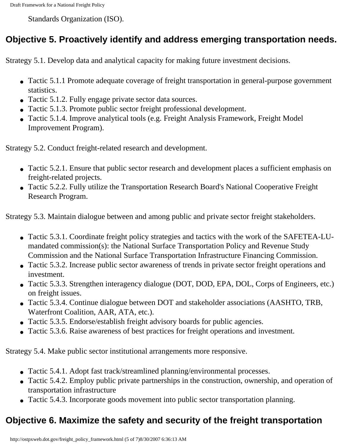Standards Organization (ISO).

### **Objective 5. Proactively identify and address emerging transportation needs.**

Strategy 5.1. Develop data and analytical capacity for making future investment decisions.

- Tactic 5.1.1 Promote adequate coverage of freight transportation in general-purpose government statistics.
- Tactic 5.1.2. Fully engage private sector data sources.
- Tactic 5.1.3. Promote public sector freight professional development.
- Tactic 5.1.4. Improve analytical tools (e.g. Freight Analysis Framework, Freight Model Improvement Program).

Strategy 5.2. Conduct freight-related research and development.

- Tactic 5.2.1. Ensure that public sector research and development places a sufficient emphasis on freight-related projects.
- Tactic 5.2.2. Fully utilize the Transportation Research Board's National Cooperative Freight Research Program.

Strategy 5.3. Maintain dialogue between and among public and private sector freight stakeholders.

- Tactic 5.3.1. Coordinate freight policy strategies and tactics with the work of the SAFETEA-LUmandated commission(s): the National Surface Transportation Policy and Revenue Study Commission and the National Surface Transportation Infrastructure Financing Commission.
- Tactic 5.3.2. Increase public sector awareness of trends in private sector freight operations and investment.
- Tactic 5.3.3. Strengthen interagency dialogue (DOT, DOD, EPA, DOL, Corps of Engineers, etc.) on freight issues.
- Tactic 5.3.4. Continue dialogue between DOT and stakeholder associations (AASHTO, TRB, Waterfront Coalition, AAR, ATA, etc.).
- Tactic 5.3.5. Endorse/establish freight advisory boards for public agencies.
- Tactic 5.3.6. Raise awareness of best practices for freight operations and investment.

Strategy 5.4. Make public sector institutional arrangements more responsive.

- Tactic 5.4.1. Adopt fast track/streamlined planning/environmental processes.
- Tactic 5.4.2. Employ public private partnerships in the construction, ownership, and operation of transportation infrastructure
- Tactic 5.4.3. Incorporate goods movement into public sector transportation planning.

### **Objective 6. Maximize the safety and security of the freight transportation**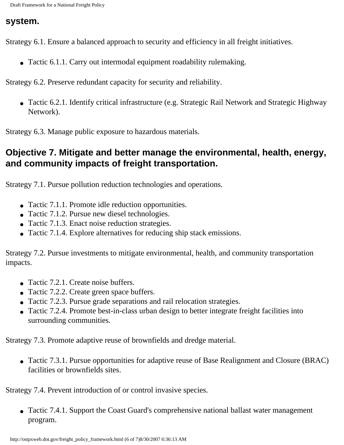Draft Framework for a National Freight Policy

#### **system.**

Strategy 6.1. Ensure a balanced approach to security and efficiency in all freight initiatives.

• Tactic 6.1.1. Carry out intermodal equipment roadability rulemaking.

Strategy 6.2. Preserve redundant capacity for security and reliability.

• Tactic 6.2.1. Identify critical infrastructure (e.g. Strategic Rail Network and Strategic Highway Network).

Strategy 6.3. Manage public exposure to hazardous materials.

#### **Objective 7. Mitigate and better manage the environmental, health, energy, and community impacts of freight transportation.**

Strategy 7.1. Pursue pollution reduction technologies and operations.

- Tactic 7.1.1. Promote idle reduction opportunities.
- Tactic 7.1.2. Pursue new diesel technologies.
- Tactic 7.1.3. Enact noise reduction strategies.
- Tactic 7.1.4. Explore alternatives for reducing ship stack emissions.

Strategy 7.2. Pursue investments to mitigate environmental, health, and community transportation impacts.

- Tactic  $7.2.1$ . Create noise buffers.
- Tactic 7.2.2. Create green space buffers.
- Tactic 7.2.3. Pursue grade separations and rail relocation strategies.
- Tactic 7.2.4. Promote best-in-class urban design to better integrate freight facilities into surrounding communities.

Strategy 7.3. Promote adaptive reuse of brownfields and dredge material.

• Tactic 7.3.1. Pursue opportunities for adaptive reuse of Base Realignment and Closure (BRAC) facilities or brownfields sites.

Strategy 7.4. Prevent introduction of or control invasive species.

• Tactic 7.4.1. Support the Coast Guard's comprehensive national ballast water management program.